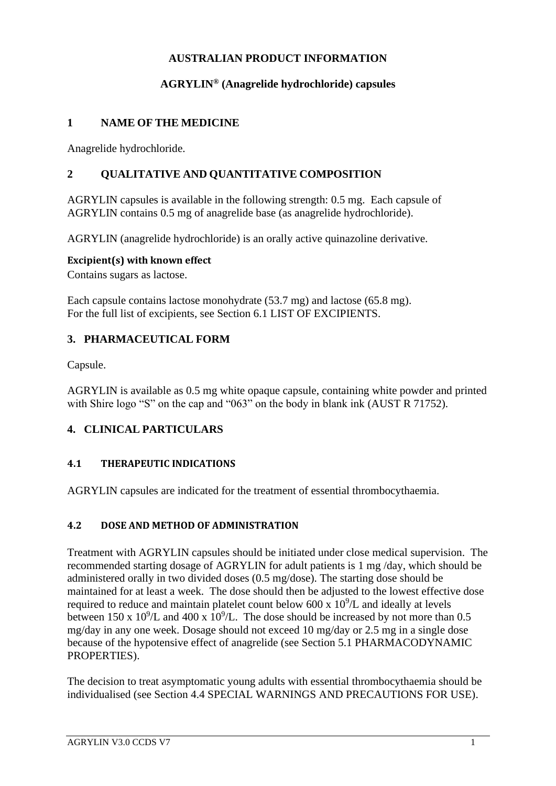# **AUSTRALIAN PRODUCT INFORMATION**

# **AGRYLIN® (Anagrelide hydrochloride) capsules**

# **1 NAME OF THE MEDICINE**

Anagrelide hydrochloride.

# **2 QUALITATIVE AND QUANTITATIVE COMPOSITION**

AGRYLIN capsules is available in the following strength: 0.5 mg. Each capsule of AGRYLIN contains 0.5 mg of anagrelide base (as anagrelide hydrochloride).

AGRYLIN (anagrelide hydrochloride) is an orally active quinazoline derivative.

## **Excipient(s) with known effect**

Contains sugars as lactose.

Each capsule contains lactose monohydrate (53.7 mg) and lactose (65.8 mg). For the full list of excipients, see Section 6.1 LIST OF EXCIPIENTS.

# **3. PHARMACEUTICAL FORM**

Capsule.

AGRYLIN is available as 0.5 mg white opaque capsule, containing white powder and printed with Shire logo "S" on the cap and "063" on the body in blank ink (AUST R 71752).

# **4. CLINICAL PARTICULARS**

## **4.1 THERAPEUTIC INDICATIONS**

AGRYLIN capsules are indicated for the treatment of essential thrombocythaemia.

## **4.2 DOSE AND METHOD OF ADMINISTRATION**

Treatment with AGRYLIN capsules should be initiated under close medical supervision. The recommended starting dosage of AGRYLIN for adult patients is 1 mg /day, which should be administered orally in two divided doses (0.5 mg/dose). The starting dose should be maintained for at least a week. The dose should then be adjusted to the lowest effective dose required to reduce and maintain platelet count below  $600 \times 10^9$ /L and ideally at levels between 150 x  $10^9$ /L and 400 x  $10^9$ /L. The dose should be increased by not more than 0.5 mg/day in any one week. Dosage should not exceed 10 mg/day or 2.5 mg in a single dose because of the hypotensive effect of anagrelide (see Section 5.1 PHARMACODYNAMIC PROPERTIES).

The decision to treat asymptomatic young adults with essential thrombocythaemia should be individualised (see Section 4.4 SPECIAL WARNINGS AND PRECAUTIONS FOR USE).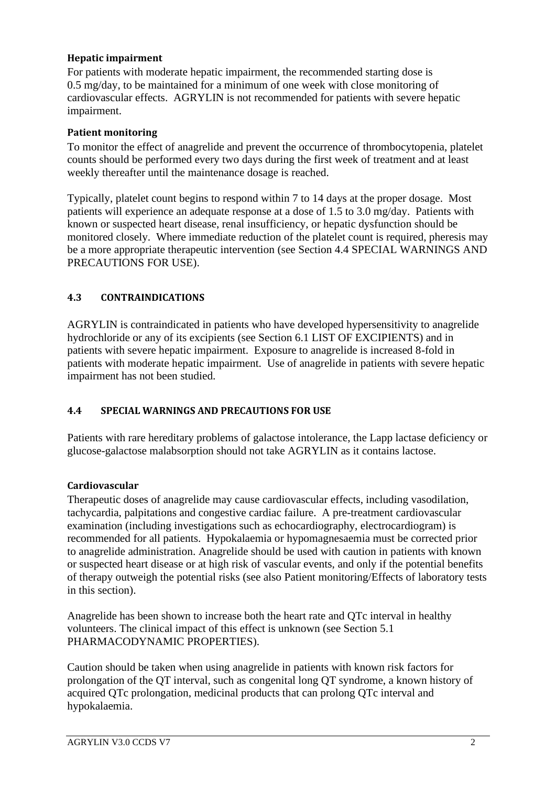### **Hepatic impairment**

For patients with moderate hepatic impairment, the recommended starting dose is 0.5 mg/day, to be maintained for a minimum of one week with close monitoring of cardiovascular effects. AGRYLIN is not recommended for patients with severe hepatic impairment.

### **Patient monitoring**

To monitor the effect of anagrelide and prevent the occurrence of thrombocytopenia, platelet counts should be performed every two days during the first week of treatment and at least weekly thereafter until the maintenance dosage is reached.

Typically, platelet count begins to respond within 7 to 14 days at the proper dosage. Most patients will experience an adequate response at a dose of 1.5 to 3.0 mg/day. Patients with known or suspected heart disease, renal insufficiency, or hepatic dysfunction should be monitored closely. Where immediate reduction of the platelet count is required, pheresis may be a more appropriate therapeutic intervention (see Section 4.4 SPECIAL WARNINGS AND PRECAUTIONS FOR USE).

## **4.3 CONTRAINDICATIONS**

AGRYLIN is contraindicated in patients who have developed hypersensitivity to anagrelide hydrochloride or any of its excipients (see Section 6.1 LIST OF EXCIPIENTS) and in patients with severe hepatic impairment. Exposure to anagrelide is increased 8-fold in patients with moderate hepatic impairment. Use of anagrelide in patients with severe hepatic impairment has not been studied.

## **4.4 SPECIAL WARNINGS AND PRECAUTIONS FOR USE**

Patients with rare hereditary problems of galactose intolerance, the Lapp lactase deficiency or glucose-galactose malabsorption should not take AGRYLIN as it contains lactose.

#### **Cardiovascular**

Therapeutic doses of anagrelide may cause cardiovascular effects, including vasodilation, tachycardia, palpitations and congestive cardiac failure. A pre-treatment cardiovascular examination (including investigations such as echocardiography, electrocardiogram) is recommended for all patients. Hypokalaemia or hypomagnesaemia must be corrected prior to anagrelide administration. Anagrelide should be used with caution in patients with known or suspected heart disease or at high risk of vascular events, and only if the potential benefits of therapy outweigh the potential risks (see also Patient monitoring/Effects of laboratory tests in this section).

Anagrelide has been shown to increase both the heart rate and QTc interval in healthy volunteers. The clinical impact of this effect is unknown (see Section 5.1 PHARMACODYNAMIC PROPERTIES).

Caution should be taken when using anagrelide in patients with known risk factors for prolongation of the QT interval, such as congenital long QT syndrome, a known history of acquired QTc prolongation, medicinal products that can prolong QTc interval and hypokalaemia.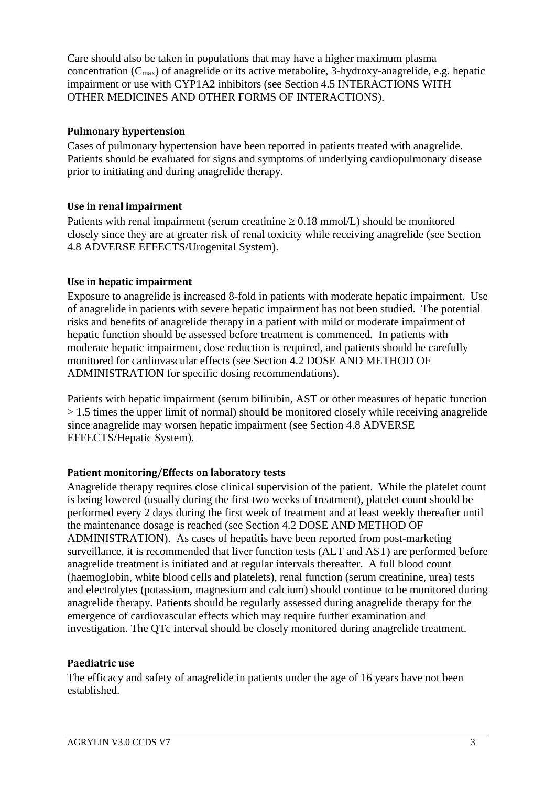Care should also be taken in populations that may have a higher maximum plasma concentration (Cmax) of anagrelide or its active metabolite, 3-hydroxy-anagrelide, e.g. hepatic impairment or use with CYP1A2 inhibitors (see Section 4.5 INTERACTIONS WITH OTHER MEDICINES AND OTHER FORMS OF INTERACTIONS).

### **Pulmonary hypertension**

Cases of pulmonary hypertension have been reported in patients treated with anagrelide. Patients should be evaluated for signs and symptoms of underlying cardiopulmonary disease prior to initiating and during anagrelide therapy.

### **Use in renal impairment**

Patients with renal impairment (serum creatinine  $\geq 0.18$  mmol/L) should be monitored closely since they are at greater risk of renal toxicity while receiving anagrelide (see Section 4.8 ADVERSE EFFECTS/Urogenital System).

### **Use in hepatic impairment**

Exposure to anagrelide is increased 8-fold in patients with moderate hepatic impairment. Use of anagrelide in patients with severe hepatic impairment has not been studied. The potential risks and benefits of anagrelide therapy in a patient with mild or moderate impairment of hepatic function should be assessed before treatment is commenced. In patients with moderate hepatic impairment, dose reduction is required, and patients should be carefully monitored for cardiovascular effects (see Section 4.2 DOSE AND METHOD OF ADMINISTRATION for specific dosing recommendations).

Patients with hepatic impairment (serum bilirubin, AST or other measures of hepatic function > 1.5 times the upper limit of normal) should be monitored closely while receiving anagrelide since anagrelide may worsen hepatic impairment (see Section 4.8 ADVERSE EFFECTS/Hepatic System).

## **Patient monitoring/Effects on laboratory tests**

Anagrelide therapy requires close clinical supervision of the patient. While the platelet count is being lowered (usually during the first two weeks of treatment), platelet count should be performed every 2 days during the first week of treatment and at least weekly thereafter until the maintenance dosage is reached (see Section 4.2 DOSE AND METHOD OF ADMINISTRATION). As cases of hepatitis have been reported from post-marketing surveillance, it is recommended that liver function tests (ALT and AST) are performed before anagrelide treatment is initiated and at regular intervals thereafter. A full blood count (haemoglobin, white blood cells and platelets), renal function (serum creatinine, urea) tests and electrolytes (potassium, magnesium and calcium) should continue to be monitored during anagrelide therapy. Patients should be regularly assessed during anagrelide therapy for the emergence of cardiovascular effects which may require further examination and investigation. The QTc interval should be closely monitored during anagrelide treatment.

## **Paediatric use**

The efficacy and safety of anagrelide in patients under the age of 16 years have not been established.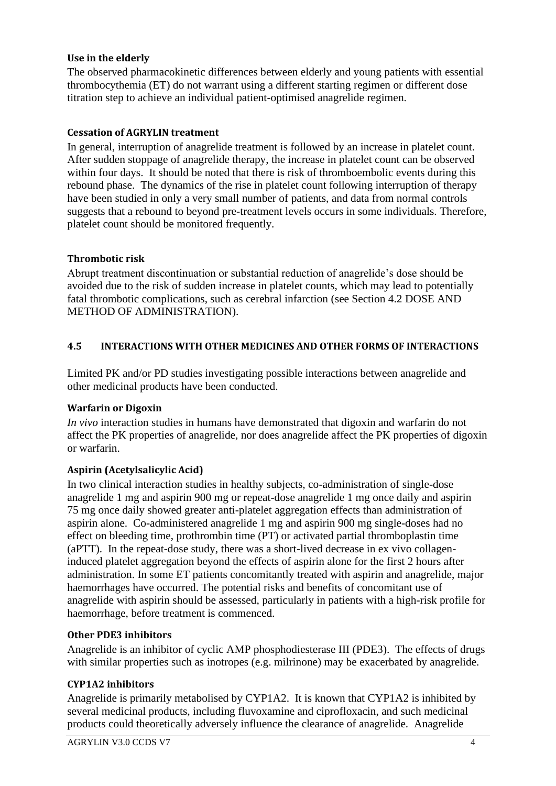## **Use in the elderly**

The observed pharmacokinetic differences between elderly and young patients with essential thrombocythemia (ET) do not warrant using a different starting regimen or different dose titration step to achieve an individual patient-optimised anagrelide regimen.

### **Cessation of AGRYLIN treatment**

In general, interruption of anagrelide treatment is followed by an increase in platelet count. After sudden stoppage of anagrelide therapy, the increase in platelet count can be observed within four days. It should be noted that there is risk of thromboembolic events during this rebound phase. The dynamics of the rise in platelet count following interruption of therapy have been studied in only a very small number of patients, and data from normal controls suggests that a rebound to beyond pre-treatment levels occurs in some individuals. Therefore, platelet count should be monitored frequently.

### **Thrombotic risk**

Abrupt treatment discontinuation or substantial reduction of anagrelide's dose should be avoided due to the risk of sudden increase in platelet counts, which may lead to potentially fatal thrombotic complications, such as cerebral infarction (see Section 4.2 DOSE AND METHOD OF ADMINISTRATION).

### **4.5 INTERACTIONS WITH OTHER MEDICINES AND OTHER FORMS OF INTERACTIONS**

Limited PK and/or PD studies investigating possible interactions between anagrelide and other medicinal products have been conducted.

## **Warfarin or Digoxin**

*In vivo* interaction studies in humans have demonstrated that digoxin and warfarin do not affect the PK properties of anagrelide, nor does anagrelide affect the PK properties of digoxin or warfarin.

## **Aspirin (Acetylsalicylic Acid)**

In two clinical interaction studies in healthy subjects, co-administration of single-dose anagrelide 1 mg and aspirin 900 mg or repeat-dose anagrelide 1 mg once daily and aspirin 75 mg once daily showed greater anti-platelet aggregation effects than administration of aspirin alone. Co-administered anagrelide 1 mg and aspirin 900 mg single-doses had no effect on bleeding time, prothrombin time (PT) or activated partial thromboplastin time (aPTT). In the repeat-dose study, there was a short-lived decrease in ex vivo collageninduced platelet aggregation beyond the effects of aspirin alone for the first 2 hours after administration. In some ET patients concomitantly treated with aspirin and anagrelide, major haemorrhages have occurred. The potential risks and benefits of concomitant use of anagrelide with aspirin should be assessed, particularly in patients with a high-risk profile for haemorrhage, before treatment is commenced.

#### **Other PDE3 inhibitors**

Anagrelide is an inhibitor of cyclic AMP phosphodiesterase III (PDE3). The effects of drugs with similar properties such as inotropes (e.g. milrinone) may be exacerbated by anagrelide.

## **CYP1A2 inhibitors**

Anagrelide is primarily metabolised by CYP1A2. It is known that CYP1A2 is inhibited by several medicinal products, including fluvoxamine and ciprofloxacin, and such medicinal products could theoretically adversely influence the clearance of anagrelide. Anagrelide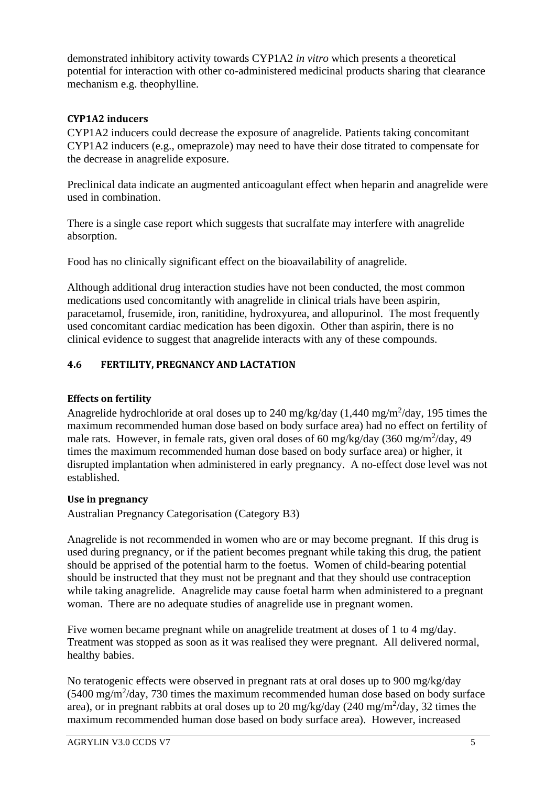demonstrated inhibitory activity towards CYP1A2 *in vitro* which presents a theoretical potential for interaction with other co-administered medicinal products sharing that clearance mechanism e.g. theophylline.

## **CYP1A2 inducers**

CYP1A2 inducers could decrease the exposure of anagrelide. Patients taking concomitant CYP1A2 inducers (e.g., omeprazole) may need to have their dose titrated to compensate for the decrease in anagrelide exposure.

Preclinical data indicate an augmented anticoagulant effect when heparin and anagrelide were used in combination.

There is a single case report which suggests that sucralfate may interfere with anagrelide absorption.

Food has no clinically significant effect on the bioavailability of anagrelide.

Although additional drug interaction studies have not been conducted, the most common medications used concomitantly with anagrelide in clinical trials have been aspirin, paracetamol, frusemide, iron, ranitidine, hydroxyurea, and allopurinol. The most frequently used concomitant cardiac medication has been digoxin. Other than aspirin, there is no clinical evidence to suggest that anagrelide interacts with any of these compounds.

# **4.6 FERTILITY, PREGNANCY AND LACTATION**

## **Effects on fertility**

Anagrelide hydrochloride at oral doses up to 240 mg/kg/day  $(1,440 \text{ mg/m}^2/\text{day}, 195 \text{ times the})$ maximum recommended human dose based on body surface area) had no effect on fertility of male rats. However, in female rats, given oral doses of 60 mg/kg/day (360 mg/m<sup>2</sup>/day, 49 times the maximum recommended human dose based on body surface area) or higher, it disrupted implantation when administered in early pregnancy. A no-effect dose level was not established.

## **Use in pregnancy**

Australian Pregnancy Categorisation (Category B3)

Anagrelide is not recommended in women who are or may become pregnant. If this drug is used during pregnancy, or if the patient becomes pregnant while taking this drug, the patient should be apprised of the potential harm to the foetus. Women of child-bearing potential should be instructed that they must not be pregnant and that they should use contraception while taking anagrelide. Anagrelide may cause foetal harm when administered to a pregnant woman. There are no adequate studies of anagrelide use in pregnant women.

Five women became pregnant while on anagrelide treatment at doses of 1 to 4 mg/day. Treatment was stopped as soon as it was realised they were pregnant. All delivered normal, healthy babies.

No teratogenic effects were observed in pregnant rats at oral doses up to 900 mg/kg/day  $(5400 \text{ mg/m}^2/\text{day}, 730 \text{ times the maximum recommended human dose based on body surface})$ area), or in pregnant rabbits at oral doses up to 20 mg/kg/day  $(240 \text{ mg/m}^2/\text{day}, 32 \text{ times the})$ maximum recommended human dose based on body surface area). However, increased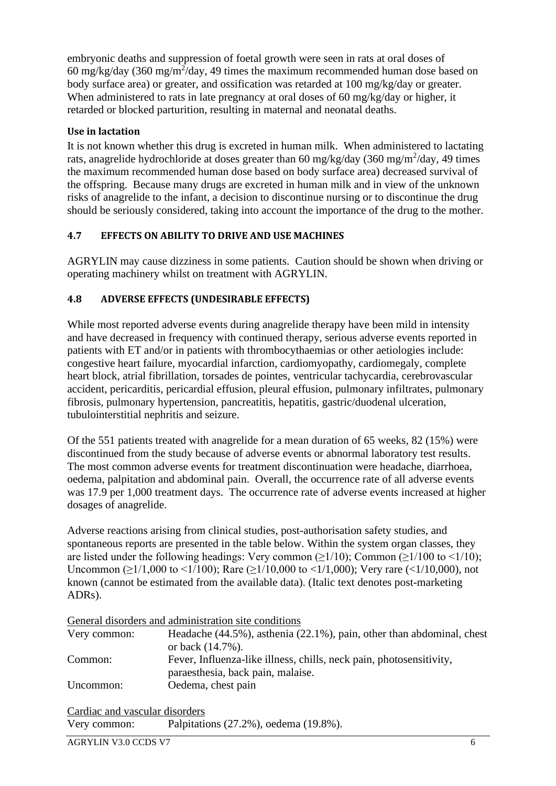embryonic deaths and suppression of foetal growth were seen in rats at oral doses of  $60 \text{ mg/kg/day}$  (360 mg/m<sup>2</sup>/day, 49 times the maximum recommended human dose based on body surface area) or greater, and ossification was retarded at 100 mg/kg/day or greater. When administered to rats in late pregnancy at oral doses of 60 mg/kg/day or higher, it retarded or blocked parturition, resulting in maternal and neonatal deaths.

## **Use in lactation**

It is not known whether this drug is excreted in human milk. When administered to lactating rats, anagrelide hydrochloride at doses greater than 60 mg/kg/day (360 mg/m<sup>2</sup>/day, 49 times the maximum recommended human dose based on body surface area) decreased survival of the offspring. Because many drugs are excreted in human milk and in view of the unknown risks of anagrelide to the infant, a decision to discontinue nursing or to discontinue the drug should be seriously considered, taking into account the importance of the drug to the mother.

# **4.7 EFFECTS ON ABILITY TO DRIVE AND USE MACHINES**

AGRYLIN may cause dizziness in some patients. Caution should be shown when driving or operating machinery whilst on treatment with AGRYLIN.

# **4.8 ADVERSE EFFECTS (UNDESIRABLE EFFECTS)**

While most reported adverse events during anagrelide therapy have been mild in intensity and have decreased in frequency with continued therapy, serious adverse events reported in patients with ET and/or in patients with thrombocythaemias or other aetiologies include: congestive heart failure, myocardial infarction, cardiomyopathy, cardiomegaly, complete heart block, atrial fibrillation, torsades de pointes, ventricular tachycardia, cerebrovascular accident, pericarditis, pericardial effusion, pleural effusion, pulmonary infiltrates, pulmonary fibrosis, pulmonary hypertension, pancreatitis, hepatitis, gastric/duodenal ulceration, tubulointerstitial nephritis and seizure.

Of the 551 patients treated with anagrelide for a mean duration of 65 weeks, 82 (15%) were discontinued from the study because of adverse events or abnormal laboratory test results. The most common adverse events for treatment discontinuation were headache, diarrhoea, oedema, palpitation and abdominal pain. Overall, the occurrence rate of all adverse events was 17.9 per 1,000 treatment days. The occurrence rate of adverse events increased at higher dosages of anagrelide.

Adverse reactions arising from clinical studies, post-authorisation safety studies, and spontaneous reports are presented in the table below. Within the system organ classes, they are listed under the following headings: Very common  $(\geq 1/10)$ ; Common  $(\geq 1/100$  to  $\leq 1/10)$ ; Uncommon ( $>1/1,000$  to  $\lt1/100$ ); Rare ( $>1/10,000$  to  $\lt1/1,000$ ); Very rare ( $\lt1/10,000$ ), not known (cannot be estimated from the available data). (Italic text denotes post-marketing ADRs).

| Very common: | Headache (44.5%), asthenia (22.1%), pain, other than abdominal, chest                                    |
|--------------|----------------------------------------------------------------------------------------------------------|
|              | or back $(14.7\%)$ .                                                                                     |
| Common:      | Fever, Influenza-like illness, chills, neck pain, photosensitivity,<br>paraesthesia, back pain, malaise. |
|              |                                                                                                          |
| Uncommon:    | Oedema, chest pain                                                                                       |

|  |  |  |  | General disorders and administration site conditions |  |  |
|--|--|--|--|------------------------------------------------------|--|--|
|--|--|--|--|------------------------------------------------------|--|--|

Cardiac and vascular disorders

Very common: Palpitations (27.2%), oedema (19.8%).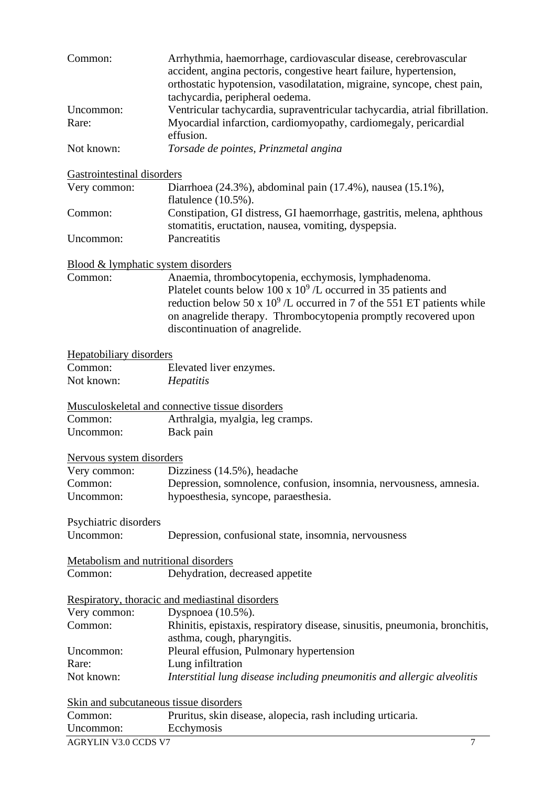| Common:                                       | Arrhythmia, haemorrhage, cardiovascular disease, cerebrovascular<br>accident, angina pectoris, congestive heart failure, hypertension,<br>orthostatic hypotension, vasodilatation, migraine, syncope, chest pain,<br>tachycardia, peripheral oedema. |  |  |  |  |
|-----------------------------------------------|------------------------------------------------------------------------------------------------------------------------------------------------------------------------------------------------------------------------------------------------------|--|--|--|--|
| Uncommon:<br>Rare:                            | Ventricular tachycardia, supraventricular tachycardia, atrial fibrillation.<br>Myocardial infarction, cardiomyopathy, cardiomegaly, pericardial<br>effusion.                                                                                         |  |  |  |  |
| Not known:                                    | Torsade de pointes, Prinzmetal angina                                                                                                                                                                                                                |  |  |  |  |
| Gastrointestinal disorders                    |                                                                                                                                                                                                                                                      |  |  |  |  |
| Very common:                                  | Diarrhoea (24.3%), abdominal pain (17.4%), nausea (15.1%),                                                                                                                                                                                           |  |  |  |  |
|                                               | flatulence (10.5%).                                                                                                                                                                                                                                  |  |  |  |  |
| Common:                                       | Constipation, GI distress, GI haemorrhage, gastritis, melena, aphthous<br>stomatitis, eructation, nausea, vomiting, dyspepsia.                                                                                                                       |  |  |  |  |
| Uncommon:                                     | Pancreatitis                                                                                                                                                                                                                                         |  |  |  |  |
| <b>Blood &amp; lymphatic system disorders</b> |                                                                                                                                                                                                                                                      |  |  |  |  |
| Common:                                       | Anaemia, thrombocytopenia, ecchymosis, lymphadenoma.                                                                                                                                                                                                 |  |  |  |  |
|                                               | Platelet counts below 100 x $10^9$ /L occurred in 35 patients and<br>reduction below 50 x $10^9$ /L occurred in 7 of the 551 ET patients while<br>on anagrelide therapy. Thrombocytopenia promptly recovered upon<br>discontinuation of anagrelide.  |  |  |  |  |
| <b>Hepatobiliary disorders</b>                |                                                                                                                                                                                                                                                      |  |  |  |  |
| Common:                                       | Elevated liver enzymes.                                                                                                                                                                                                                              |  |  |  |  |
| Not known:                                    | Hepatitis                                                                                                                                                                                                                                            |  |  |  |  |
|                                               | Musculoskeletal and connective tissue disorders                                                                                                                                                                                                      |  |  |  |  |
| Common:                                       | Arthralgia, myalgia, leg cramps.                                                                                                                                                                                                                     |  |  |  |  |
| Uncommon:                                     | Back pain                                                                                                                                                                                                                                            |  |  |  |  |
| Nervous system disorders                      |                                                                                                                                                                                                                                                      |  |  |  |  |
| Very common:                                  | Dizziness (14.5%), headache                                                                                                                                                                                                                          |  |  |  |  |
| Common:                                       | Depression, somnolence, confusion, insomnia, nervousness, amnesia.                                                                                                                                                                                   |  |  |  |  |
| Uncommon:                                     | hypoesthesia, syncope, paraesthesia.                                                                                                                                                                                                                 |  |  |  |  |
| Psychiatric disorders                         |                                                                                                                                                                                                                                                      |  |  |  |  |
| Uncommon:                                     | Depression, confusional state, insomnia, nervousness                                                                                                                                                                                                 |  |  |  |  |
| Metabolism and nutritional disorders          |                                                                                                                                                                                                                                                      |  |  |  |  |
| Common:                                       | Dehydration, decreased appetite                                                                                                                                                                                                                      |  |  |  |  |
|                                               | Respiratory, thoracic and mediastinal disorders                                                                                                                                                                                                      |  |  |  |  |
| Very common:                                  | Dyspnoea $(10.5\%)$ .                                                                                                                                                                                                                                |  |  |  |  |
| Common:                                       | Rhinitis, epistaxis, respiratory disease, sinusitis, pneumonia, bronchitis,                                                                                                                                                                          |  |  |  |  |
|                                               | asthma, cough, pharyngitis.                                                                                                                                                                                                                          |  |  |  |  |
| Uncommon:                                     | Pleural effusion, Pulmonary hypertension                                                                                                                                                                                                             |  |  |  |  |
| Rare:                                         | Lung infiltration                                                                                                                                                                                                                                    |  |  |  |  |
| Not known:                                    | Interstitial lung disease including pneumonitis and allergic alveolitis                                                                                                                                                                              |  |  |  |  |
| Skin and subcutaneous tissue disorders        |                                                                                                                                                                                                                                                      |  |  |  |  |
| Common:                                       | Pruritus, skin disease, alopecia, rash including urticaria.                                                                                                                                                                                          |  |  |  |  |
| Uncommon:                                     | Ecchymosis                                                                                                                                                                                                                                           |  |  |  |  |
| AGRYLIN V3.0 CCDS V7                          | 7                                                                                                                                                                                                                                                    |  |  |  |  |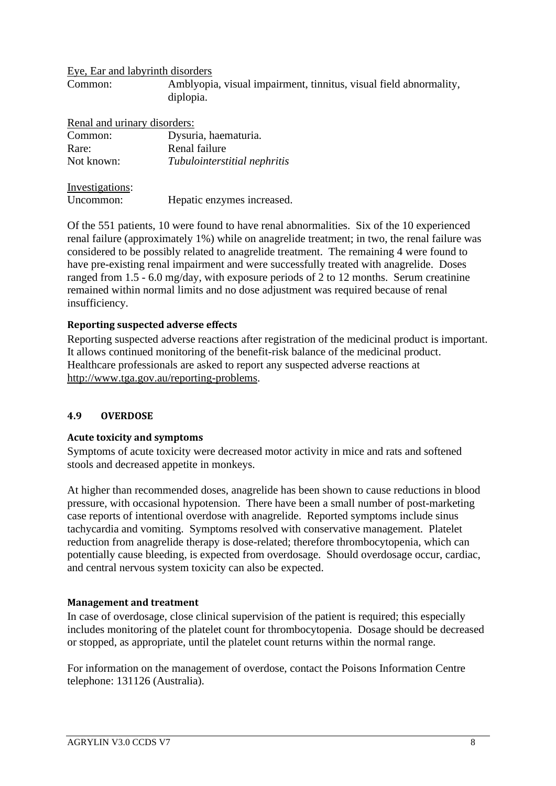Eye, Ear and labyrinth disorders Common: Amblyopia, visual impairment, tinnitus, visual field abnormality, diplopia.

| Renal and urinary disorders: |                              |  |
|------------------------------|------------------------------|--|
| Common:                      | Dysuria, haematuria.         |  |
| Rare:                        | Renal failure                |  |
| Not known:                   | Tubulointerstitial nephritis |  |
| Investigations:              |                              |  |
| Uncommon:                    | Hepatic enzymes increased.   |  |

Of the 551 patients, 10 were found to have renal abnormalities. Six of the 10 experienced renal failure (approximately 1%) while on anagrelide treatment; in two, the renal failure was considered to be possibly related to anagrelide treatment. The remaining 4 were found to have pre-existing renal impairment and were successfully treated with anagrelide. Doses ranged from 1.5 - 6.0 mg/day, with exposure periods of 2 to 12 months. Serum creatinine remained within normal limits and no dose adjustment was required because of renal insufficiency.

### **Reporting suspected adverse effects**

Reporting suspected adverse reactions after registration of the medicinal product is important. It allows continued monitoring of the benefit-risk balance of the medicinal product. Healthcare professionals are asked to report any suspected adverse reactions at [http://www.tga.gov.au/reporting-problems.](http://www.tga.gov.au/reporting-problems)

#### **4.9 OVERDOSE**

#### **Acute toxicity and symptoms**

Symptoms of acute toxicity were decreased motor activity in mice and rats and softened stools and decreased appetite in monkeys.

At higher than recommended doses, anagrelide has been shown to cause reductions in blood pressure, with occasional hypotension. There have been a small number of post-marketing case reports of intentional overdose with anagrelide. Reported symptoms include sinus tachycardia and vomiting. Symptoms resolved with conservative management. Platelet reduction from anagrelide therapy is dose-related; therefore thrombocytopenia, which can potentially cause bleeding, is expected from overdosage. Should overdosage occur, cardiac, and central nervous system toxicity can also be expected.

#### **Management and treatment**

In case of overdosage, close clinical supervision of the patient is required; this especially includes monitoring of the platelet count for thrombocytopenia. Dosage should be decreased or stopped, as appropriate, until the platelet count returns within the normal range.

For information on the management of overdose, contact the Poisons Information Centre telephone: 131126 (Australia).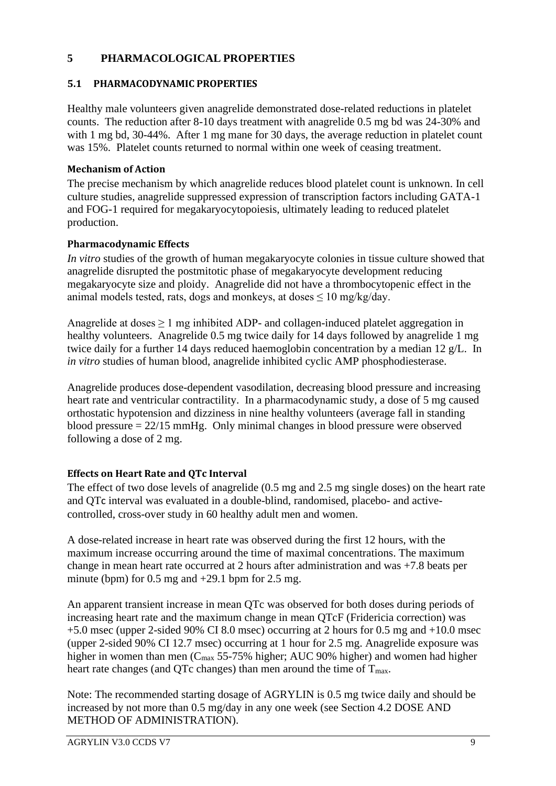# **5 PHARMACOLOGICAL PROPERTIES**

# **5.1 PHARMACODYNAMIC PROPERTIES**

Healthy male volunteers given anagrelide demonstrated dose-related reductions in platelet counts. The reduction after 8-10 days treatment with anagrelide 0.5 mg bd was 24-30% and with 1 mg bd, 30-44%. After 1 mg mane for 30 days, the average reduction in platelet count was 15%. Platelet counts returned to normal within one week of ceasing treatment.

# **Mechanism of Action**

The precise mechanism by which anagrelide reduces blood platelet count is unknown. In cell culture studies, anagrelide suppressed expression of transcription factors including GATA-1 and FOG-1 required for megakaryocytopoiesis, ultimately leading to reduced platelet production.

# **Pharmacodynamic Effects**

*In vitro* studies of the growth of human megakaryocyte colonies in tissue culture showed that anagrelide disrupted the postmitotic phase of megakaryocyte development reducing megakaryocyte size and ploidy. Anagrelide did not have a thrombocytopenic effect in the animal models tested, rats, dogs and monkeys, at doses  $\leq 10$  mg/kg/day.

Anagrelide at doses  $\geq 1$  mg inhibited ADP- and collagen-induced platelet aggregation in healthy volunteers. Anagrelide 0.5 mg twice daily for 14 days followed by anagrelide 1 mg twice daily for a further 14 days reduced haemoglobin concentration by a median 12 g/L. In *in vitro* studies of human blood, anagrelide inhibited cyclic AMP phosphodiesterase.

Anagrelide produces dose-dependent vasodilation, decreasing blood pressure and increasing heart rate and ventricular contractility. In a pharmacodynamic study, a dose of 5 mg caused orthostatic hypotension and dizziness in nine healthy volunteers (average fall in standing blood pressure = 22/15 mmHg. Only minimal changes in blood pressure were observed following a dose of 2 mg.

# **Effects on Heart Rate and QTc Interval**

The effect of two dose levels of anagrelide (0.5 mg and 2.5 mg single doses) on the heart rate and QTc interval was evaluated in a double-blind, randomised, placebo- and activecontrolled, cross-over study in 60 healthy adult men and women.

A dose-related increase in heart rate was observed during the first 12 hours, with the maximum increase occurring around the time of maximal concentrations. The maximum change in mean heart rate occurred at 2 hours after administration and was +7.8 beats per minute (bpm) for  $0.5$  mg and  $+29.1$  bpm for  $2.5$  mg.

An apparent transient increase in mean QTc was observed for both doses during periods of increasing heart rate and the maximum change in mean QTcF (Fridericia correction) was +5.0 msec (upper 2-sided 90% CI 8.0 msec) occurring at 2 hours for 0.5 mg and +10.0 msec (upper 2-sided 90% CI 12.7 msec) occurring at 1 hour for 2.5 mg. Anagrelide exposure was higher in women than men (C<sub>max</sub> 55-75% higher; AUC 90% higher) and women had higher heart rate changes (and OTc changes) than men around the time of  $T_{\text{max}}$ .

Note: The recommended starting dosage of AGRYLIN is 0.5 mg twice daily and should be increased by not more than 0.5 mg/day in any one week (see Section 4.2 DOSE AND METHOD OF ADMINISTRATION).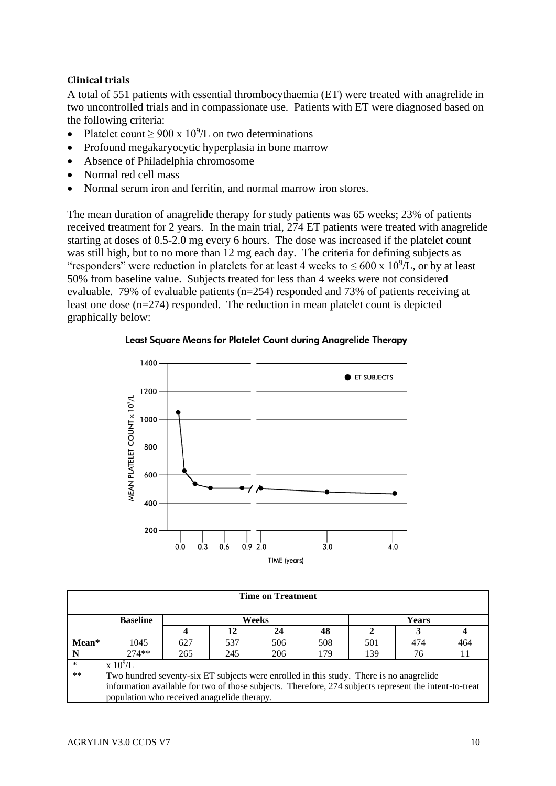## **Clinical trials**

A total of 551 patients with essential thrombocythaemia (ET) were treated with anagrelide in two uncontrolled trials and in compassionate use. Patients with ET were diagnosed based on the following criteria:

- Platelet count  $\geq 900 \times 10^9$ /L on two determinations
- Profound megakaryocytic hyperplasia in bone marrow
- Absence of Philadelphia chromosome
- Normal red cell mass
- Normal serum iron and ferritin, and normal marrow iron stores.

The mean duration of anagrelide therapy for study patients was 65 weeks; 23% of patients received treatment for 2 years. In the main trial, 274 ET patients were treated with anagrelide starting at doses of 0.5-2.0 mg every 6 hours. The dose was increased if the platelet count was still high, but to no more than 12 mg each day. The criteria for defining subjects as "responders" were reduction in platelets for at least 4 weeks to  $\leq 600 \times 10^9$ /L, or by at least 50% from baseline value. Subjects treated for less than 4 weeks were not considered evaluable. 79% of evaluable patients (n=254) responded and 73% of patients receiving at least one dose (n=274) responded. The reduction in mean platelet count is depicted graphically below:

Least Square Means for Platelet Count during Anagrelide Therapy



| <b>Time on Treatment</b>                    |                                                                                                        |     |       |     |     |              |     |     |
|---------------------------------------------|--------------------------------------------------------------------------------------------------------|-----|-------|-----|-----|--------------|-----|-----|
|                                             | <b>Baseline</b>                                                                                        |     | Weeks |     |     | <b>Years</b> |     |     |
|                                             |                                                                                                        | 4   | 12    | 24  | 48  |              | 3   |     |
| Mean*                                       | 1045                                                                                                   | 627 | 537   | 506 | 508 | 501          | 474 | 464 |
| $\mathbf N$                                 | $274**$                                                                                                | 265 | 245   | 206 | 179 | 139          | 76  |     |
| $\ast$                                      | $\times 10^9$ /L                                                                                       |     |       |     |     |              |     |     |
| $**$                                        | Two hundred seventy-six ET subjects were enrolled in this study. There is no anagrelide                |     |       |     |     |              |     |     |
|                                             | information available for two of those subjects. Therefore, 274 subjects represent the intent-to-treat |     |       |     |     |              |     |     |
| population who received anagrelide therapy. |                                                                                                        |     |       |     |     |              |     |     |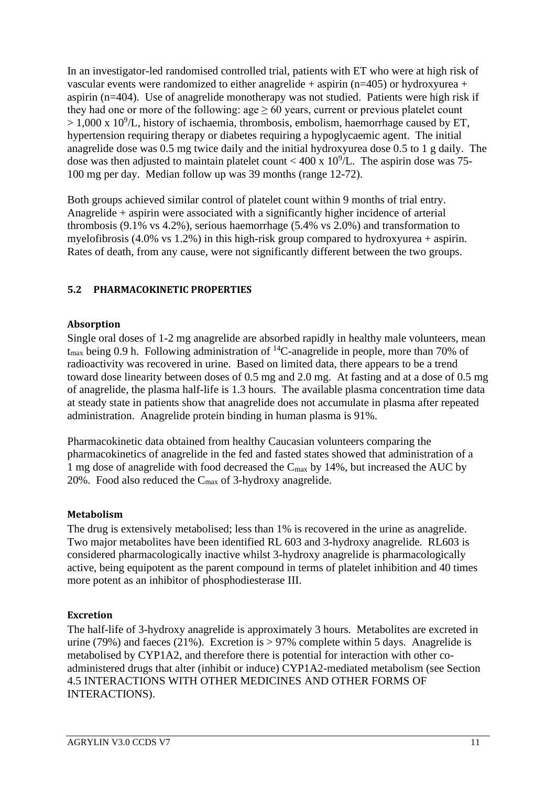In an investigator-led randomised controlled trial, patients with ET who were at high risk of vascular events were randomized to either anagrelide + aspirin ( $n=405$ ) or hydroxyurea + aspirin (n=404). Use of anagrelide monotherapy was not studied. Patients were high risk if they had one or more of the following:  $age > 60$  years, current or previous platelet count  $> 1,000$  x 10<sup>9</sup>/L, history of ischaemia, thrombosis, embolism, haemorrhage caused by ET, hypertension requiring therapy or diabetes requiring a hypoglycaemic agent. The initial anagrelide dose was 0.5 mg twice daily and the initial hydroxyurea dose 0.5 to 1 g daily. The dose was then adjusted to maintain platelet count  $<$  400 x 10<sup>9</sup>/L. The aspirin dose was 75-100 mg per day. Median follow up was 39 months (range 12-72).

Both groups achieved similar control of platelet count within 9 months of trial entry. Anagrelide + aspirin were associated with a significantly higher incidence of arterial thrombosis (9.1% vs 4.2%), serious haemorrhage (5.4% vs 2.0%) and transformation to myelofibrosis (4.0% vs 1.2%) in this high-risk group compared to hydroxyurea + aspirin. Rates of death, from any cause, were not significantly different between the two groups.

## **5.2 PHARMACOKINETIC PROPERTIES**

## **Absorption**

Single oral doses of 1-2 mg anagrelide are absorbed rapidly in healthy male volunteers, mean  $t_{\text{max}}$  being 0.9 h. Following administration of <sup>14</sup>C-anagrelide in people, more than 70% of radioactivity was recovered in urine. Based on limited data, there appears to be a trend toward dose linearity between doses of 0.5 mg and 2.0 mg. At fasting and at a dose of 0.5 mg of anagrelide, the plasma half-life is 1.3 hours. The available plasma concentration time data at steady state in patients show that anagrelide does not accumulate in plasma after repeated administration. Anagrelide protein binding in human plasma is 91%.

Pharmacokinetic data obtained from healthy Caucasian volunteers comparing the pharmacokinetics of anagrelide in the fed and fasted states showed that administration of a 1 mg dose of anagrelide with food decreased the Cmax by 14%, but increased the AUC by 20%. Food also reduced the  $C_{\text{max}}$  of 3-hydroxy anagrelide.

#### **Metabolism**

The drug is extensively metabolised; less than 1% is recovered in the urine as anagrelide. Two major metabolites have been identified RL 603 and 3-hydroxy anagrelide. RL603 is considered pharmacologically inactive whilst 3-hydroxy anagrelide is pharmacologically active, being equipotent as the parent compound in terms of platelet inhibition and 40 times more potent as an inhibitor of phosphodiesterase III.

## **Excretion**

The half-life of 3-hydroxy anagrelide is approximately 3 hours. Metabolites are excreted in urine (79%) and faeces (21%). Excretion is  $> 97\%$  complete within 5 days. Anagrelide is metabolised by CYP1A2, and therefore there is potential for interaction with other coadministered drugs that alter (inhibit or induce) CYP1A2-mediated metabolism (see Section 4.5 INTERACTIONS WITH OTHER MEDICINES AND OTHER FORMS OF INTERACTIONS).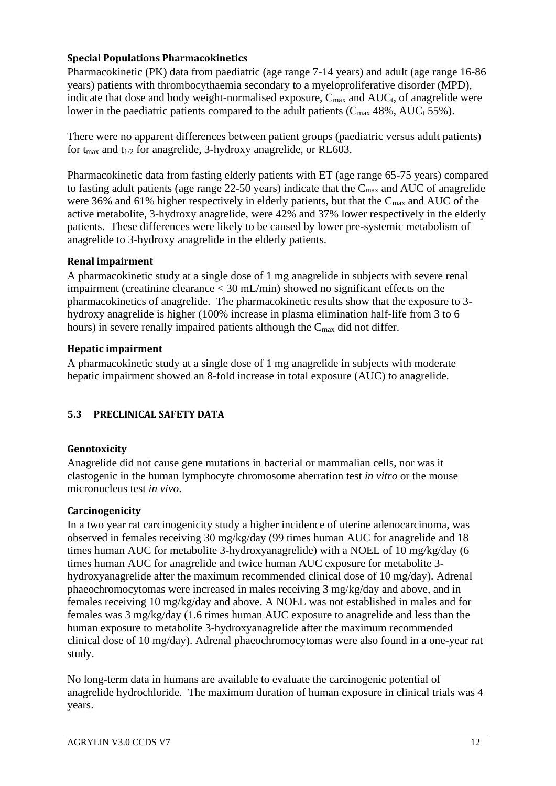# **Special Populations Pharmacokinetics**

Pharmacokinetic (PK) data from paediatric (age range 7-14 years) and adult (age range 16-86 years) patients with thrombocythaemia secondary to a myeloproliferative disorder (MPD), indicate that dose and body weight-normalised exposure,  $C_{\text{max}}$  and  $AUC_t$ , of anagrelide were lower in the paediatric patients compared to the adult patients  $(C_{\text{max}} 48\%, \text{AUC}_t 55\%).$ 

There were no apparent differences between patient groups (paediatric versus adult patients) for t<sub>max</sub> and t<sub>1/2</sub> for anagrelide, 3-hydroxy anagrelide, or RL603.

Pharmacokinetic data from fasting elderly patients with ET (age range 65-75 years) compared to fasting adult patients (age range  $22-50$  years) indicate that the  $C_{\text{max}}$  and AUC of anagrelide were 36% and 61% higher respectively in elderly patients, but that the  $C_{\text{max}}$  and AUC of the active metabolite, 3-hydroxy anagrelide, were 42% and 37% lower respectively in the elderly patients. These differences were likely to be caused by lower pre-systemic metabolism of anagrelide to 3-hydroxy anagrelide in the elderly patients.

## **Renal impairment**

A pharmacokinetic study at a single dose of 1 mg anagrelide in subjects with severe renal impairment (creatinine clearance < 30 mL/min) showed no significant effects on the pharmacokinetics of anagrelide. The pharmacokinetic results show that the exposure to 3 hydroxy anagrelide is higher (100% increase in plasma elimination half-life from 3 to 6 hours) in severe renally impaired patients although the  $C_{\text{max}}$  did not differ.

## **Hepatic impairment**

A pharmacokinetic study at a single dose of 1 mg anagrelide in subjects with moderate hepatic impairment showed an 8-fold increase in total exposure (AUC) to anagrelide.

# **5.3 PRECLINICAL SAFETY DATA**

## **Genotoxicity**

Anagrelide did not cause gene mutations in bacterial or mammalian cells, nor was it clastogenic in the human lymphocyte chromosome aberration test *in vitro* or the mouse micronucleus test *in vivo*.

## **Carcinogenicity**

In a two year rat carcinogenicity study a higher incidence of uterine adenocarcinoma, was observed in females receiving 30 mg/kg/day (99 times human AUC for anagrelide and 18 times human AUC for metabolite 3-hydroxyanagrelide) with a NOEL of 10 mg/kg/day (6 times human AUC for anagrelide and twice human AUC exposure for metabolite 3 hydroxyanagrelide after the maximum recommended clinical dose of 10 mg/day). Adrenal phaeochromocytomas were increased in males receiving 3 mg/kg/day and above, and in females receiving 10 mg/kg/day and above. A NOEL was not established in males and for females was 3 mg/kg/day (1.6 times human AUC exposure to anagrelide and less than the human exposure to metabolite 3-hydroxyanagrelide after the maximum recommended clinical dose of 10 mg/day). Adrenal phaeochromocytomas were also found in a one-year rat study.

No long-term data in humans are available to evaluate the carcinogenic potential of anagrelide hydrochloride. The maximum duration of human exposure in clinical trials was 4 years.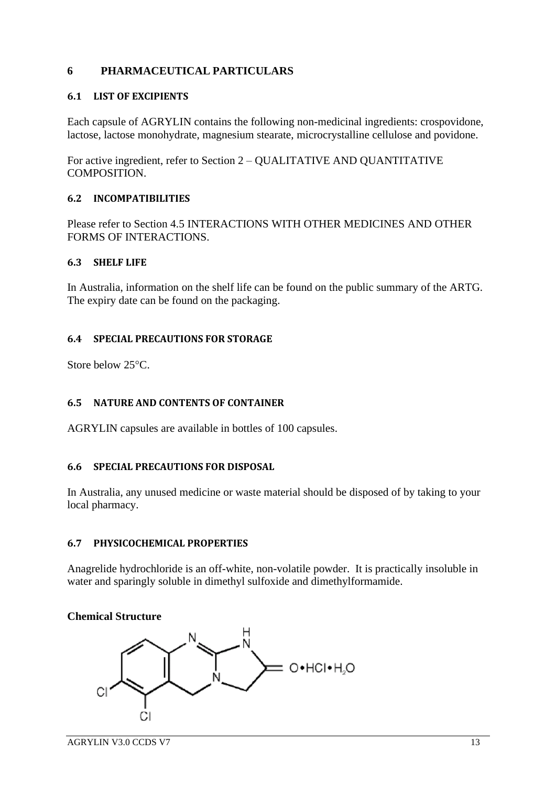## **6 PHARMACEUTICAL PARTICULARS**

### **6.1 LIST OF EXCIPIENTS**

Each capsule of AGRYLIN contains the following non-medicinal ingredients: crospovidone, lactose, lactose monohydrate, magnesium stearate, microcrystalline cellulose and povidone.

For active ingredient, refer to Section 2 – QUALITATIVE AND QUANTITATIVE COMPOSITION.

### **6.2 INCOMPATIBILITIES**

Please refer to Section 4.5 INTERACTIONS WITH OTHER MEDICINES AND OTHER FORMS OF INTERACTIONS.

### **6.3 SHELF LIFE**

In Australia, information on the shelf life can be found on the public summary of the ARTG. The expiry date can be found on the packaging.

### **6.4 SPECIAL PRECAUTIONS FOR STORAGE**

Store below 25°C.

## **6.5 NATURE AND CONTENTS OF CONTAINER**

AGRYLIN capsules are available in bottles of 100 capsules.

#### **6.6 SPECIAL PRECAUTIONS FOR DISPOSAL**

In Australia, any unused medicine or waste material should be disposed of by taking to your local pharmacy.

#### **6.7 PHYSICOCHEMICAL PROPERTIES**

Anagrelide hydrochloride is an off-white, non-volatile powder. It is practically insoluble in water and sparingly soluble in dimethyl sulfoxide and dimethylformamide.

## **Chemical Structure**